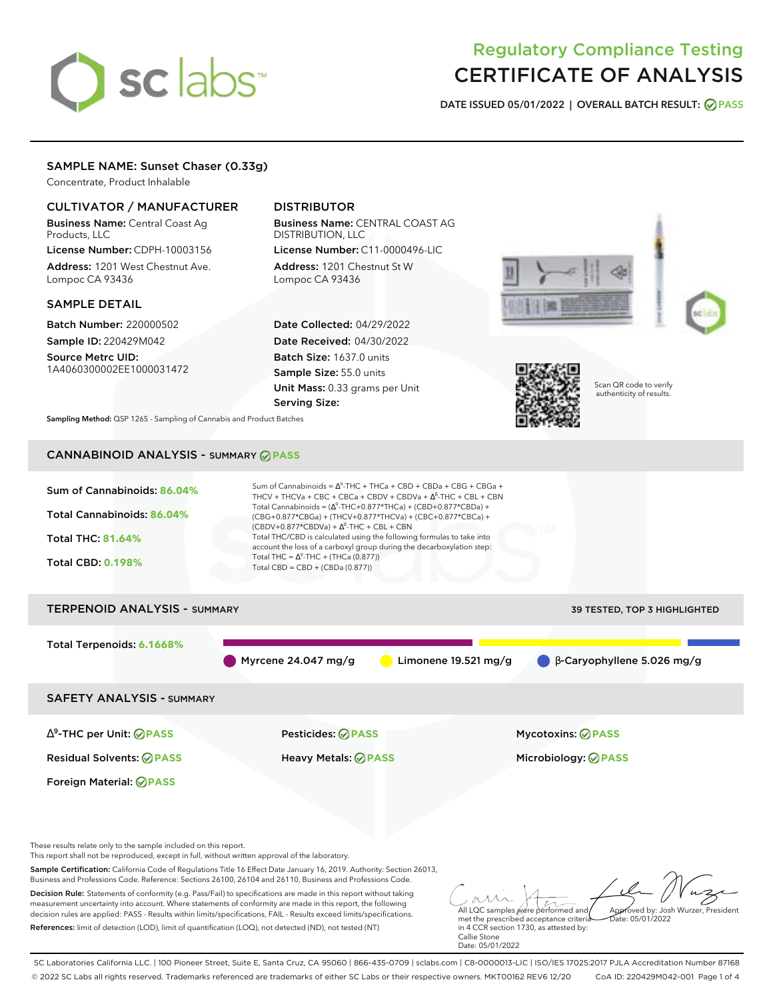# sclabs<sup>\*</sup>

# Regulatory Compliance Testing CERTIFICATE OF ANALYSIS

**DATE ISSUED 05/01/2022 | OVERALL BATCH RESULT: PASS**

# SAMPLE NAME: Sunset Chaser (0.33g)

Concentrate, Product Inhalable

# CULTIVATOR / MANUFACTURER

Business Name: Central Coast Ag Products, LLC

License Number: CDPH-10003156 Address: 1201 West Chestnut Ave. Lompoc CA 93436

# SAMPLE DETAIL

Batch Number: 220000502 Sample ID: 220429M042

Source Metrc UID: 1A4060300002EE1000031472

# DISTRIBUTOR

Business Name: CENTRAL COAST AG DISTRIBUTION, LLC License Number: C11-0000496-LIC

Address: 1201 Chestnut St W Lompoc CA 93436

Date Collected: 04/29/2022 Date Received: 04/30/2022 Batch Size: 1637.0 units Sample Size: 55.0 units Unit Mass: 0.33 grams per Unit Serving Size:





Scan QR code to verify authenticity of results.

**Sampling Method:** QSP 1265 - Sampling of Cannabis and Product Batches

# CANNABINOID ANALYSIS - SUMMARY **PASS**



These results relate only to the sample included on this report.

This report shall not be reproduced, except in full, without written approval of the laboratory.

Sample Certification: California Code of Regulations Title 16 Effect Date January 16, 2019. Authority: Section 26013, Business and Professions Code. Reference: Sections 26100, 26104 and 26110, Business and Professions Code.

Decision Rule: Statements of conformity (e.g. Pass/Fail) to specifications are made in this report without taking measurement uncertainty into account. Where statements of conformity are made in this report, the following decision rules are applied: PASS - Results within limits/specifications, FAIL - Results exceed limits/specifications. References: limit of detection (LOD), limit of quantification (LOQ), not detected (ND), not tested (NT)

All LQC samples were performed and met the prescribed acceptance criteria Approved by: Josh Wurzer, President  $hat: 05/01/2022$ 

in 4 CCR section 1730, as attested by: Callie Stone Date: 05/01/2022

SC Laboratories California LLC. | 100 Pioneer Street, Suite E, Santa Cruz, CA 95060 | 866-435-0709 | sclabs.com | C8-0000013-LIC | ISO/IES 17025:2017 PJLA Accreditation Number 87168 © 2022 SC Labs all rights reserved. Trademarks referenced are trademarks of either SC Labs or their respective owners. MKT00162 REV6 12/20 CoA ID: 220429M042-001 Page 1 of 4